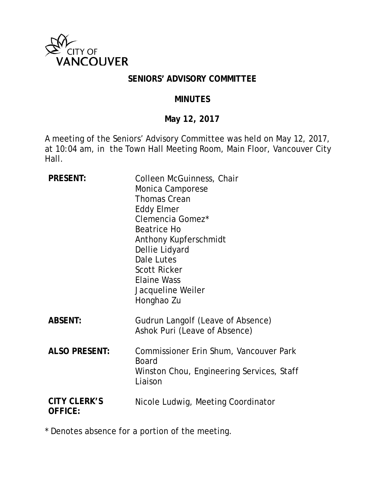

#### **SENIORS' ADVISORY COMMITTEE**

#### **MINUTES**

## **May 12, 2017**

A meeting of the Seniors' Advisory Committee was held on May 12, 2017, at 10:04 am, in the Town Hall Meeting Room, Main Floor, Vancouver City Hall.

| <b>PRESENT:</b>                       | Colleen McGuinness, Chair<br>Monica Camporese<br><b>Thomas Crean</b><br><b>Eddy Elmer</b><br>Clemencia Gomez*<br><b>Beatrice Ho</b><br>Anthony Kupferschmidt<br>Dellie Lidyard<br>Dale Lutes<br><b>Scott Ricker</b><br><b>Elaine Wass</b><br>Jacqueline Weiler<br>Honghao Zu |
|---------------------------------------|------------------------------------------------------------------------------------------------------------------------------------------------------------------------------------------------------------------------------------------------------------------------------|
| <b>ABSENT:</b>                        | Gudrun Langolf (Leave of Absence)<br>Ashok Puri (Leave of Absence)                                                                                                                                                                                                           |
| <b>ALSO PRESENT:</b>                  | Commissioner Erin Shum, Vancouver Park<br><b>Board</b><br>Winston Chou, Engineering Services, Staff<br>Liaison                                                                                                                                                               |
| <b>CITY CLERK'S</b><br><b>OFFICE:</b> | Nicole Ludwig, Meeting Coordinator                                                                                                                                                                                                                                           |

\* Denotes absence for a portion of the meeting.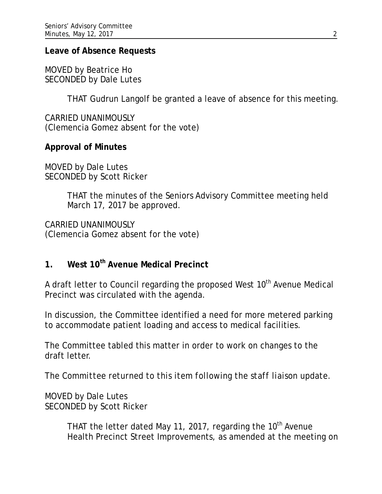#### **Leave of Absence Requests**

MOVED by Beatrice Ho SECONDED by Dale Lutes

THAT Gudrun Langolf be granted a leave of absence for this meeting.

CARRIED UNANIMOUSLY (Clemencia Gomez absent for the vote)

## **Approval of Minutes**

MOVED by Dale Lutes SECONDED by Scott Ricker

> THAT the minutes of the Seniors Advisory Committee meeting held March 17, 2017 be approved.

CARRIED UNANIMOUSLY (Clemencia Gomez absent for the vote)

# **1. West 10th Avenue Medical Precinct**

A draft letter to Council regarding the proposed West  $10<sup>th</sup>$  Avenue Medical Precinct was circulated with the agenda.

In discussion, the Committee identified a need for more metered parking to accommodate patient loading and access to medical facilities.

The Committee tabled this matter in order to work on changes to the draft letter.

*The Committee returned to this item following the staff liaison update.*

MOVED by Dale Lutes SECONDED by Scott Ricker

> THAT the letter dated May 11, 2017, regarding the 10<sup>th</sup> Avenue Health Precinct Street Improvements, as amended at the meeting on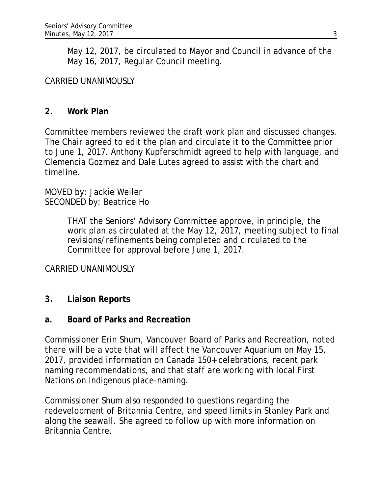May 12, 2017, be circulated to Mayor and Council in advance of the May 16, 2017, Regular Council meeting.

## CARRIED UNANIMOUSLY

#### **2. Work Plan**

Committee members reviewed the draft work plan and discussed changes. The Chair agreed to edit the plan and circulate it to the Committee prior to June 1, 2017. Anthony Kupferschmidt agreed to help with language, and Clemencia Gozmez and Dale Lutes agreed to assist with the chart and timeline.

MOVED by: Jackie Weiler SECONDED by: Beatrice Ho

> THAT the Seniors' Advisory Committee approve, in principle, the work plan as circulated at the May 12, 2017, meeting subject to final revisions/refinements being completed and circulated to the Committee for approval before June 1, 2017.

#### CARRIED UNANIMOUSLY

#### **3. Liaison Reports**

#### **a. Board of Parks and Recreation**

Commissioner Erin Shum, Vancouver Board of Parks and Recreation, noted there will be a vote that will affect the Vancouver Aquarium on May 15, 2017, provided information on Canada 150+ celebrations, recent park naming recommendations, and that staff are working with local First Nations on Indigenous place-naming.

Commissioner Shum also responded to questions regarding the redevelopment of Britannia Centre, and speed limits in Stanley Park and along the seawall. She agreed to follow up with more information on Britannia Centre.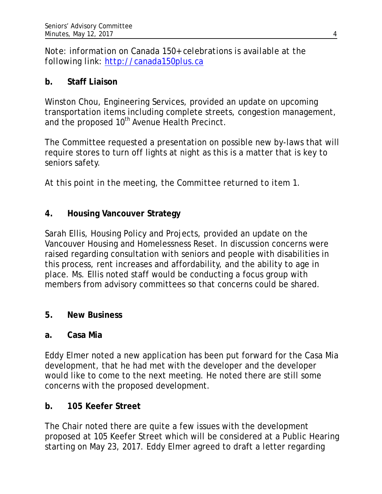*Note: information on Canada 150+ celebrations is available at the following link: [http://canada150plus.ca](http://canada150plus.ca/)*

## **b. Staff Liaison**

Winston Chou, Engineering Services, provided an update on upcoming transportation items including complete streets, congestion management, and the proposed 10<sup>th</sup> Avenue Health Precinct.

The Committee requested a presentation on possible new by-laws that will require stores to turn off lights at night as this is a matter that is key to seniors safety.

*At this point in the meeting, the Committee returned to item 1.*

# **4. Housing Vancouver Strategy**

Sarah Ellis, Housing Policy and Projects, provided an update on the Vancouver Housing and Homelessness Reset. In discussion concerns were raised regarding consultation with seniors and people with disabilities in this process, rent increases and affordability, and the ability to age in place. Ms. Ellis noted staff would be conducting a focus group with members from advisory committees so that concerns could be shared.

# **5. New Business**

## **a. Casa Mia**

Eddy Elmer noted a new application has been put forward for the Casa Mia development, that he had met with the developer and the developer would like to come to the next meeting. He noted there are still some concerns with the proposed development.

## **b. 105 Keefer Street**

The Chair noted there are quite a few issues with the development proposed at 105 Keefer Street which will be considered at a Public Hearing starting on May 23, 2017. Eddy Elmer agreed to draft a letter regarding